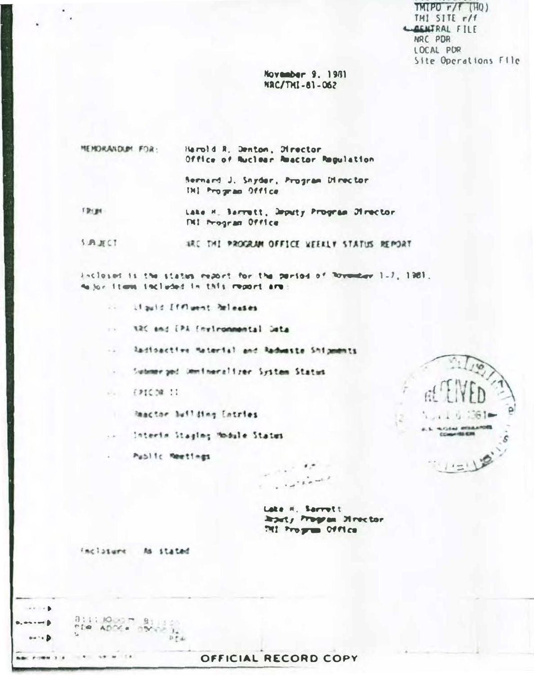$TMPO r/f (HO)$ THI SITE r/f **CAENTRAL FILE** NRC PDR LOCAL PUR Site Operations File

November 9, 1981 NAC/THI-81-062

**MEMORANDUM FOR:** Herold R. Denton, Director Office of Ruclear Reactor Regulation

> Bernard J. Snyder, Program Director THI Program Office

FROM: Lake H. Barrett, Deputy Program Director **NI Program Office** 

**SUBJECT** TRE THI PROGRAM OFFICE WEEKLY STATUS REMORT

inclosed is the states report for the pariod of Royauday 1-7, 1981. to for items included in this report are:

.. Liquid [ffluent heleases

alt and EPA (nyironmental Jeta  $\sim 10^{-1}$ 

.. Radioactive Material and Radwaste Shipments

- Submerged Ummineralizer System Status

 $-12109.11$ 

Reactor Building Entries

.. Interio Staging Module Status

. Public Meetings



Late H. Sarrett leady home Heretor MI Program OVVICE

 $\cdot$ 

inclosure As stated

 $0:1:10...$   $0:2:3...$ 

 $-1 - 1 = 1 + 1 = 1 + 1 = 1 + 1 = 1 + 1 = 1 + 1 = 1 + 1 = 1 + 1 = 1 + 1 = 1 + 1 = 1 + 1 = 1 + 1 = 1 + 1 = 1 + 1 = 1 + 1 = 1 + 1 = 1 + 1 = 1 + 1 = 1 + 1 = 1 + 1 = 1 + 1 = 1 + 1 = 1 + 1 = 1 + 1 = 1 + 1 = 1 + 1 = 1 + 1 = 1 + 1 = 1 + 1 = 1 + 1 = 1 + 1 = 1 + 1 = 1 + 1 = 1 + 1 = 1 + 1 = 1 = 1 + 1 =$ 

 $x \in \mathbb{R}$ 

 $\cdots$ on to B

---

## OFFICIAL RECORD COPY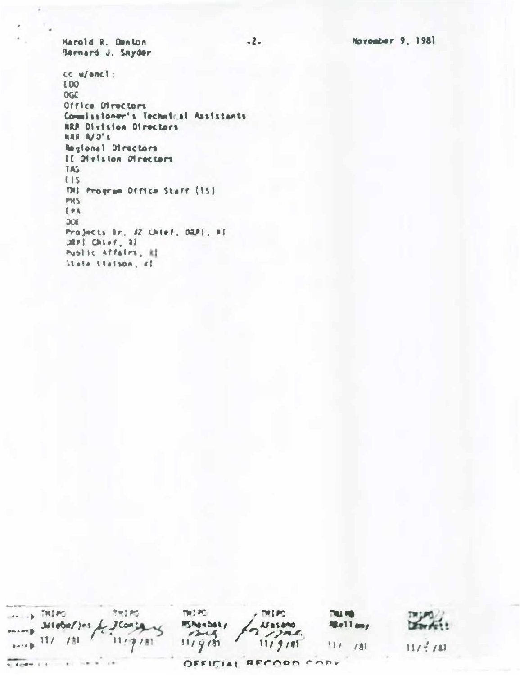November 9, 1981

Harold R. Denton Bernard J. Snyder

 $cc$  w/encl: **EDO OGC** Office Directors Commissioner's Technical Assistants HRR Division Directors ARR A/J's Regional Directors IE Division Directors TAS  $115$ THI Program Difice Staff (15) PHS EPA DOE Projects &r. #2 Uhief, DRP1, #1 JRPI Chief, 21 Public Affairs, RI State Liaison, al

 $\cdots$  in THIPS **SWEEDS** mated.  $,$  mind **PAGE PO** - Micheljes  $J$ Conserved **MSAgnbaky Hellers Masano**  $\eta$  /  $n$  $7248$  $-11/181$  $11/410$  $11/9/81$  $111/181$  $11/7/11$  $\frac{1}{2}$ OFFICIAL RECORD CORY

 $-2-$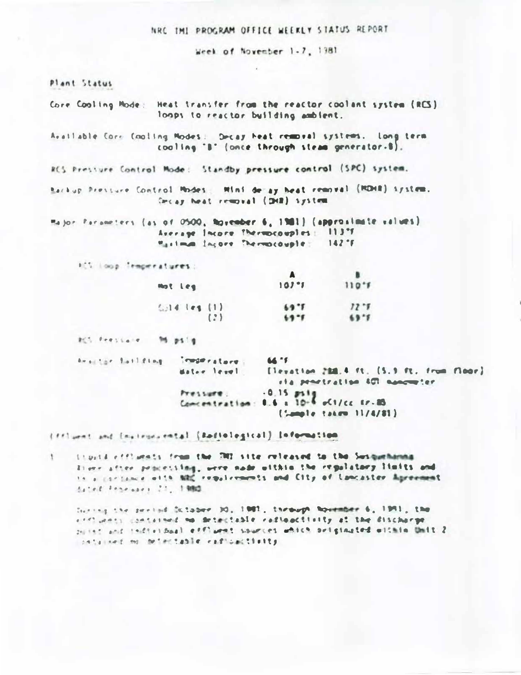#### NRC THE PROGRAM OFFICE WEEKLY STATUS REPORT

Week of November 1-7, 1981

Plant Status

- Core Cooling Mode: Heat transfer from the reactor coolant system (RCS) loops to reactor building ambient.
- Available Corr Cooling Modes: Decay heat removal systems. Long term cooling 'B' (once through steam generator-B).

RCS Pressure Control Mode: Standby pressure control (SPC) system.

- Backup Pressure Control Modes: Mini de ay heat removal (MDHR) system. Crist heat removal (DHR) system
- Major Farameters (as of 0500, November 6, 1981) (approximate values) Average Incore Thermocouples: 113°F Maximum Incore Thermocouple  $142 - F$

HCC Loop Trmperatures:

| Mot Leg        | $107 - 1$ | $110 - 5$ |
|----------------|-----------|-----------|
| $6.14$ ies (1) | 69.1      | $12 - 1$  |
| (2)            | $69 - 1$  | 69.7      |

Mitchenstein Migsig

beautor failfing importators. 64.15 [levation 288.4 ft. (5.9 ft. from floor) Mater level the provincition AUT superview. Pressure: . . 0.15 ps12<br>Concentration: 0.6 a 10-2 oCt/cc tr-85 [Sample takem 11/4/81]

(ffluent and instrumental (Rediological) information

tionid efficials from the DII site released to the Susquehanna  $1$ liver after processing, were node within the regulatory limits and to a cardiance with NRC requirements and City of Lancaster Agreement dated Francisco 21, 1980

Include the present Schooler DO, 1981, the most November 6, 1951, the and party contained mo detectable radioactivity at the discharge patter and tedistinal effluent sources which originated within Unit 2 contained no detectable eadloactivity.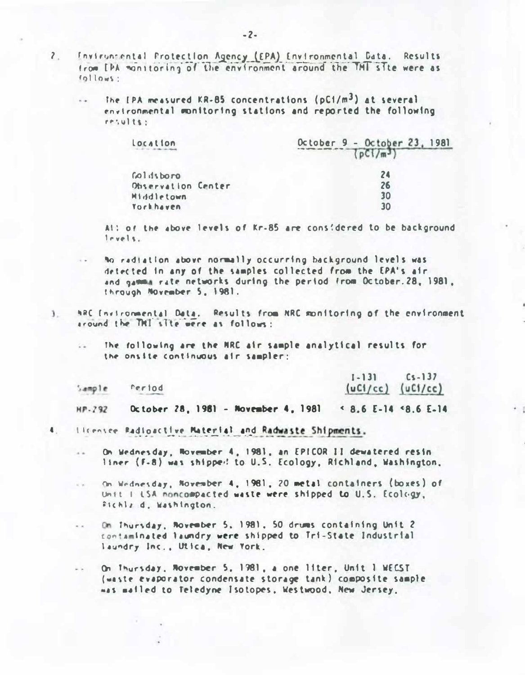- $\mathbf{2}$ Inviruntental Protection Agency (EPA) Environmental Data. Results from [PA monitoring of the environment around the TMT site were as follows:
	- The IPA measured KR-85 concentrations (pC1/m<sup>3</sup>) at several environmental monitoring stations and reported the following  $results:$

| Location           | October 9 - October 23, 1981<br>$\left\{ \frac{n(1)}{n^3} \right\}$ |  |
|--------------------|---------------------------------------------------------------------|--|
| roldsboro          | 24                                                                  |  |
| Observation Center | 26                                                                  |  |
| <b>Middletown</b>  | 30                                                                  |  |
| <b>Yorkhaven</b>   | 30                                                                  |  |

Al: of the above levels of Kr-85 are considered to be background levels.

- No radiation above normally occurring background levels was detected in any of the samples collected from the EPA's air and gamma rate networks during the period from October.28, 1981, Through November 5, 1981.
- ARC Invironmental Data. Results from RRC monitoring of the environment  $\mathbf{1}$ ground the THI site were as follows:
	- The following are the NRC air sample analytical results for  $\frac{1}{2}$ the onsite continuous air sampler:

|        |        | $\left[ -13 \right]$ $\left[ -6, -13 \right]$ |
|--------|--------|-----------------------------------------------|
| Sample | reriod | $(uCl/cc)$ $(uCl/cc)$                         |

October 28, 1981 - November 4, 1981 < 8.6 E-14 <8.6 E-14 HP-292

- 4. Ilcensee Radioactive Material and Radwaste Shipments.
	- On Wednesday, Movember 4, 1981, an EPICOR II dewatered resin liner (F-8) was shipped to U.S. Ecology, Richland, Washington,
	- On Wednesday, November 4, 1981, 20 metal containers (boxes) of  $x^2 + \cdots$ Unit I LSA noncompacted waste were shipped to U.S. Ecology, Sichlz d. Washington.
	- $\sim$   $\times$ On Thursday, Rovember 5, 1981, 50 drums containing Unit 2 contaminated laundry were shipped to Tri-State Industrial laundry Inc., Utica, New York.
	- On Thursday, November 5, 1981, a one liter, Unit I WECST  $= 1$ (waste evaporator condensate storage tank) composite sample mas malled to Teledyne Isotopes, Westwood, New Jersey.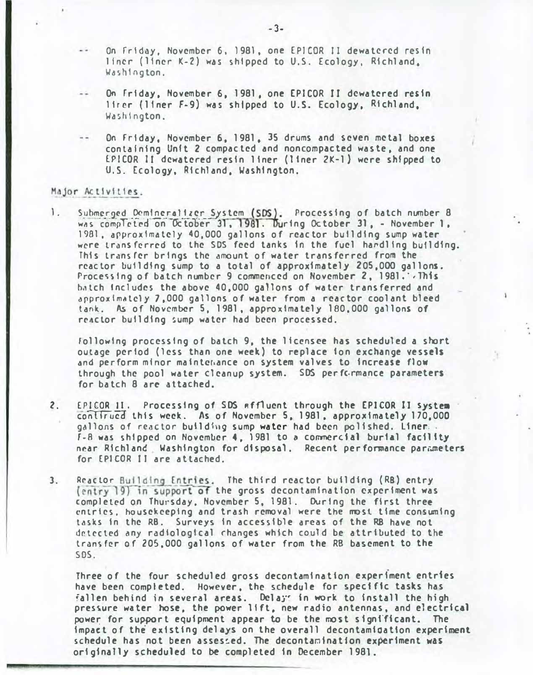- On friday, November 6, 1981, one EPICOR II dewatcred resin liner (liner K-2) was shipped to U.S. Ecology, Richland, Washington.
- On frtday, November 6, 1981, one EPICOR II dcwatcred resin 11rer (11ner F-9) was shipped to U.S. Ecology, Richland, Washington.
- On Friday, November 6, 1981, 35 drums and seven metal boxes containing Unit 2 compacted and noncompacted waste, and one lPICOR II dcwatcred resin liner (ltner 2K-1} were shi pped to U.S. Ecology, Richland, Washington.

#### Major Activities.

1. Submerged Demineralizer System (SDS). Processing of batch number 8 Submerged Demineralizer System (SDS). Processing of batch number 8<br>was completed on October 31, 1981. During October 31, - November 1, 19Bl, approximately 40,000 gallons of reactor building sump water were transferred to the SDS feed tanks in the fuel hardling building. This transfer brings the amount of water transferred from the reactor bulldfng sump to a total of approximately 205,000 gallons. Processing of batch number 9 commenced on November 2, 1981.  $\cdot$  This batch Includes the above 40,000 gallons of water transferred and dpproxlm�tely 7,000 gallons of water from a reactor coolant bleed tank. As of November 5, 1g81, approximately 100,000 gallons of reactor building sump water had been processed.

following processing of batch 9, the licensee has scheduled a short outage period (less than one week) to replace ion exchange vessels and perform mfnor mainter.ance on system valves to increase flow through the pool water cleanup system. SDS per fc-rmance parameters for batch 8 arc attached.

- 2. EPICOR 11. Processing of SDS affluent through the EPICOR II system conlirued this week. As of November 5, 1981, approximately 170,000 gallons of reactor building sump water had been polished. Liner... F-8 was shipped on November 4, 1981 to a commercial burial facility near Richland, Washington for disposal. Recent performance parameters for EPICOR II are attached.
- 3. Reactor Building Entries. The third reactor building (RB) entry (entry 19) in support of the gross decontamination experiment was completed on Thursday, November 5, 1981. During the first three entries, housekeeping and trash removal were the most time consuming tasks in the RB. Surveys in accessible areas of the RB have not detected any radiological rhanges whtch could be attributed to the transfer of 205,000 gallons of water from the RB basement to the SDS.

Three of the four scheduled gross decontamination experiment entries have been completed. However, the schedule for specific tasks has fallen behind in several areas. Delays in work to install the high pressure water hose, the power lift, new radio antennas, and electrical power for support equipment appear to be the most significant. The impact of the existing delays on the overall decontamioatfon experiment schedule has not been assessed. The decontamination experiment was originally scheduled to be completed in December 1981.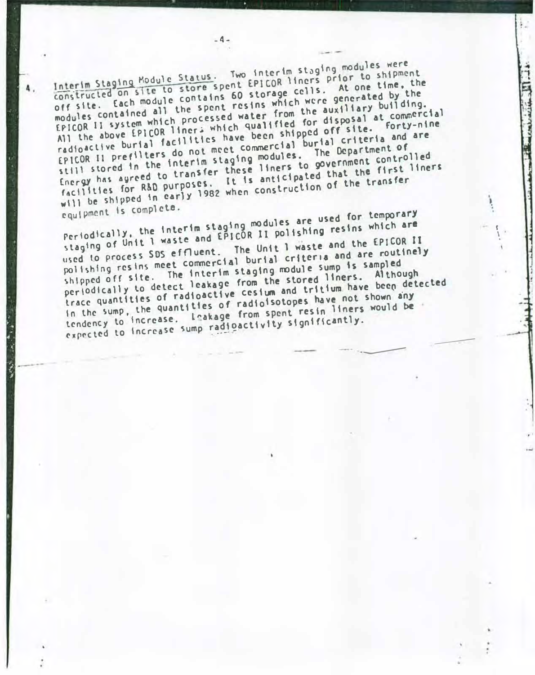Interim Staging Module Status. Two interim staging modules were<br>constructed on site to store spent EPICOR liners prior to shipment<br>constructed on L module contains 60 storage cells. At one time, the Interim Staging Module Status. Two interim staging modules were<br>constructed on site to store spent EPICOR liners prior to shipment<br>off site. Each module contains 60 storage cells. At one time, the modules contained all the spent resins which were generated by the EPICOR II system which processed water from the auxiliary building. All the above EPICOR liners which qualified for disposal at commercial radioactive burial facilities have been shipped off site. Forty-nine tP <sup>I</sup>COR 11 prefl\ters do not meet commercial burial criteria and are still stored in the interim staging modules. The Department of tnergy has agreed to transfer these liners to government controlled r.clill stored in the three these liners to government the first liners<br>Energy has agreed to transfer the santicipated that the first liners Energy has agreed to purposes. It is anticipated<br>facilities for R&D purposes. It is anticipated<br>will be shipped in early 1982 when construction of the transfer equipment Is complete.

-4-

Periodically, the interim staging modules are used for temporary<br>staging of Unit I waste and EPICOR II polishing resins which are staging of Unit 1 waste and EPICOR II polishing resins which are staging of Unit 1 waste and criter. The Unit 1 waste and the EPICOR II<br>used to process SDS effluent. The Unit 1 waste and are routinel used to process SDS effluent. The unit reflection and are routinely<br>polishing resins meet commercial burial criteria and are routinely shipped off site. The interim staging module sump is sampled periodically to detect leakage from the stored liners. Although trace quantities of radioactive cesium and tritium have been detected In the sump, the quantities of radioisotopes have not shown any tendency to increase. Leakage from spent resin liners would be expected to increase sump radioactivity significantly.

------

f \ . Collection of the Minister

·---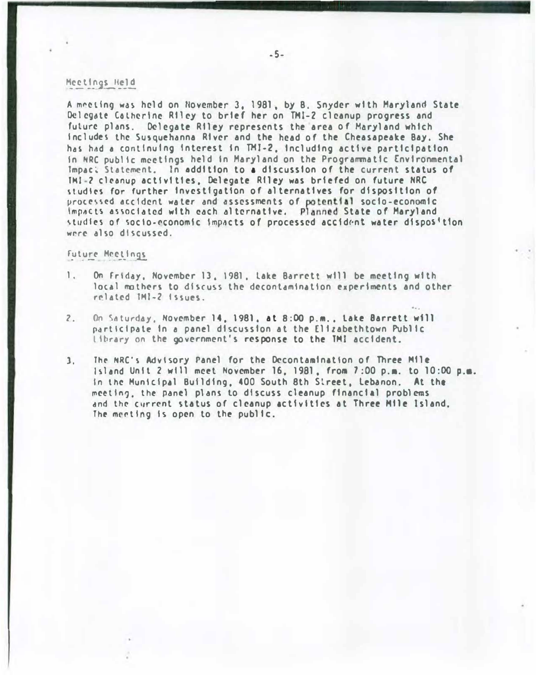#### Meetings Held

A meeting was held on November 3, 1981, by B. Snyder with Maryland State Delegate Catherine Riley to brief her on TMI-2 cleanup progress and future plans. Delegate Riley represents the area of Maryland which Includes the Susquehanna River and the head of the Cheasapeake Bay, She has had a continuing interest in TMI-2. including active participation in NRC public meetings held in Maryland on the Programmatic Environmental lmpac� Statement. In addition to a discussion of the current status of TMI-2 cleanup activities. Delegate Riley was briefed on future NRC studies for further investigation of alternatives for disposition of processed accident water and assessments of potential socio-economic impacts associated with each alternative. Planned State of Maryland studies of socio-economic impacts of processed accident water disposition wrre also discussed.

### Future Meetings

- l. On friday, November 13, 1981, lake Barrett will be meeting with local mothers to discuss the decontamination experiments and other related IMI-2 Issues.
- 2. On Saturday, November 14, 1981, at 8:00 p.m., Lake Barrett will participate in a panel discussion at the Elizabethtown Public library on the government's response to the TMI accident.
- 3. The NRC's Advisory Panel for the Decontamination of Three Mile Island Unit 2 wtll meet November 16. 1981. froa 1 ;00 p,a. to 10:00 p.a. In the Municipal Building, 400 South 8th Sireet, Lebanon. At the mceting, the panel plans to discuss cleanup financial problems and the current status of cleanup activities at Three Mile Island. The meeting is open to the public.

 $\sigma$ . .